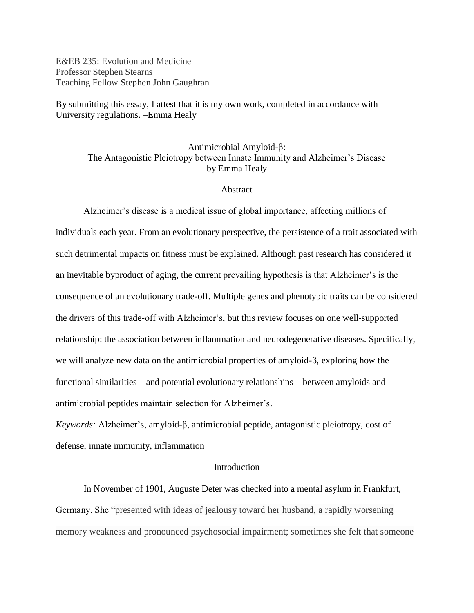E&EB 235: Evolution and Medicine Professor Stephen Stearns Teaching Fellow Stephen John Gaughran

By submitting this essay, I attest that it is my own work, completed in accordance with University regulations. –Emma Healy

Antimicrobial Amyloid-β: The Antagonistic Pleiotropy between Innate Immunity and Alzheimer's Disease by Emma Healy

#### **Abstract**

Alzheimer's disease is a medical issue of global importance, affecting millions of individuals each year. From an evolutionary perspective, the persistence of a trait associated with such detrimental impacts on fitness must be explained. Although past research has considered it an inevitable byproduct of aging, the current prevailing hypothesis is that Alzheimer's is the consequence of an evolutionary trade-off. Multiple genes and phenotypic traits can be considered the drivers of this trade-off with Alzheimer's, but this review focuses on one well-supported relationship: the association between inflammation and neurodegenerative diseases. Specifically, we will analyze new data on the antimicrobial properties of amyloid-β, exploring how the functional similarities—and potential evolutionary relationships—between amyloids and antimicrobial peptides maintain selection for Alzheimer's.

*Keywords:* Alzheimer's, amyloid-β, antimicrobial peptide, antagonistic pleiotropy, cost of defense, innate immunity, inflammation

# **Introduction**

In November of 1901, Auguste Deter was checked into a mental asylum in Frankfurt, Germany. She "presented with ideas of jealousy toward her husband, a rapidly worsening memory weakness and pronounced psychosocial impairment; sometimes she felt that someone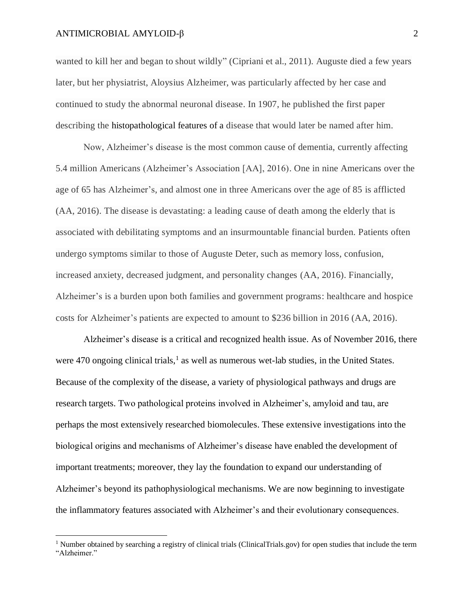l

wanted to kill her and began to shout wildly" (Cipriani et al., 2011). Auguste died a few years later, but her physiatrist, Aloysius Alzheimer, was particularly affected by her case and continued to study the abnormal neuronal disease. In 1907, he published the first paper describing the histopathological features of a disease that would later be named after him.

Now, Alzheimer's disease is the most common cause of dementia, currently affecting 5.4 million Americans (Alzheimer's Association [AA], 2016). One in nine Americans over the age of 65 has Alzheimer's, and almost one in three Americans over the age of 85 is afflicted (AA, 2016). The disease is devastating: a leading cause of death among the elderly that is associated with debilitating symptoms and an insurmountable financial burden. Patients often undergo symptoms similar to those of Auguste Deter, such as memory loss, confusion, increased anxiety, decreased judgment, and personality changes (AA, 2016). Financially, Alzheimer's is a burden upon both families and government programs: healthcare and hospice costs for Alzheimer's patients are expected to amount to \$236 billion in 2016 (AA, 2016).

Alzheimer's disease is a critical and recognized health issue. As of November 2016, there were 470 ongoing clinical trials,<sup>1</sup> as well as numerous wet-lab studies, in the United States. Because of the complexity of the disease, a variety of physiological pathways and drugs are research targets. Two pathological proteins involved in Alzheimer's, amyloid and tau, are perhaps the most extensively researched biomolecules. These extensive investigations into the biological origins and mechanisms of Alzheimer's disease have enabled the development of important treatments; moreover, they lay the foundation to expand our understanding of Alzheimer's beyond its pathophysiological mechanisms. We are now beginning to investigate the inflammatory features associated with Alzheimer's and their evolutionary consequences.

<sup>&</sup>lt;sup>1</sup> Number obtained by searching a registry of clinical trials (ClinicalTrials.gov) for open studies that include the term "Alzheimer."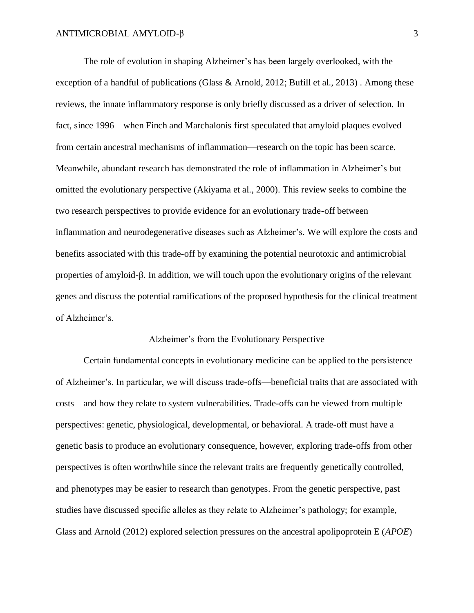The role of evolution in shaping Alzheimer's has been largely overlooked, with the exception of a handful of publications (Glass & Arnold, 2012; Bufill et al., 2013) . Among these reviews, the innate inflammatory response is only briefly discussed as a driver of selection. In fact, since 1996—when Finch and Marchalonis first speculated that amyloid plaques evolved from certain ancestral mechanisms of inflammation—research on the topic has been scarce. Meanwhile, abundant research has demonstrated the role of inflammation in Alzheimer's but omitted the evolutionary perspective (Akiyama et al., 2000). This review seeks to combine the two research perspectives to provide evidence for an evolutionary trade-off between inflammation and neurodegenerative diseases such as Alzheimer's. We will explore the costs and benefits associated with this trade-off by examining the potential neurotoxic and antimicrobial properties of amyloid-β. In addition, we will touch upon the evolutionary origins of the relevant genes and discuss the potential ramifications of the proposed hypothesis for the clinical treatment of Alzheimer's.

# Alzheimer's from the Evolutionary Perspective

Certain fundamental concepts in evolutionary medicine can be applied to the persistence of Alzheimer's. In particular, we will discuss trade-offs—beneficial traits that are associated with costs—and how they relate to system vulnerabilities. Trade-offs can be viewed from multiple perspectives: genetic, physiological, developmental, or behavioral. A trade-off must have a genetic basis to produce an evolutionary consequence, however, exploring trade-offs from other perspectives is often worthwhile since the relevant traits are frequently genetically controlled, and phenotypes may be easier to research than genotypes. From the genetic perspective, past studies have discussed specific alleles as they relate to Alzheimer's pathology; for example, Glass and Arnold (2012) explored selection pressures on the ancestral apolipoprotein E (*APOE*)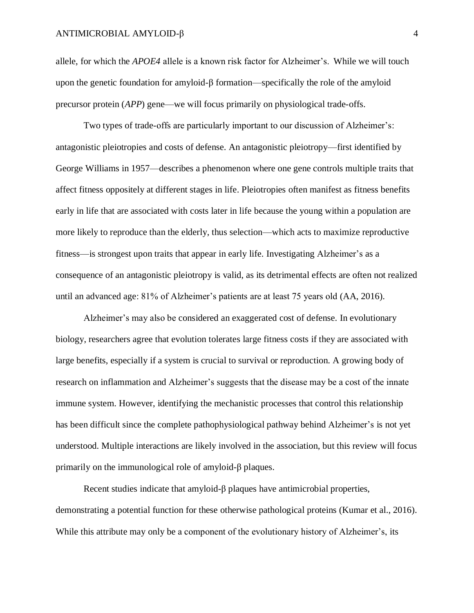allele, for which the *APOE4* allele is a known risk factor for Alzheimer's. While we will touch upon the genetic foundation for amyloid- $\beta$  formation—specifically the role of the amyloid precursor protein (*APP*) gene—we will focus primarily on physiological trade-offs.

Two types of trade-offs are particularly important to our discussion of Alzheimer's: antagonistic pleiotropies and costs of defense. An antagonistic pleiotropy—first identified by George Williams in 1957—describes a phenomenon where one gene controls multiple traits that affect fitness oppositely at different stages in life. Pleiotropies often manifest as fitness benefits early in life that are associated with costs later in life because the young within a population are more likely to reproduce than the elderly, thus selection—which acts to maximize reproductive fitness—is strongest upon traits that appear in early life. Investigating Alzheimer's as a consequence of an antagonistic pleiotropy is valid, as its detrimental effects are often not realized until an advanced age: 81% of Alzheimer's patients are at least 75 years old (AA, 2016).

Alzheimer's may also be considered an exaggerated cost of defense. In evolutionary biology, researchers agree that evolution tolerates large fitness costs if they are associated with large benefits, especially if a system is crucial to survival or reproduction. A growing body of research on inflammation and Alzheimer's suggests that the disease may be a cost of the innate immune system. However, identifying the mechanistic processes that control this relationship has been difficult since the complete pathophysiological pathway behind Alzheimer's is not yet understood. Multiple interactions are likely involved in the association, but this review will focus primarily on the immunological role of amyloid-β plaques.

Recent studies indicate that amyloid-β plaques have antimicrobial properties, demonstrating a potential function for these otherwise pathological proteins (Kumar et al., 2016). While this attribute may only be a component of the evolutionary history of Alzheimer's, its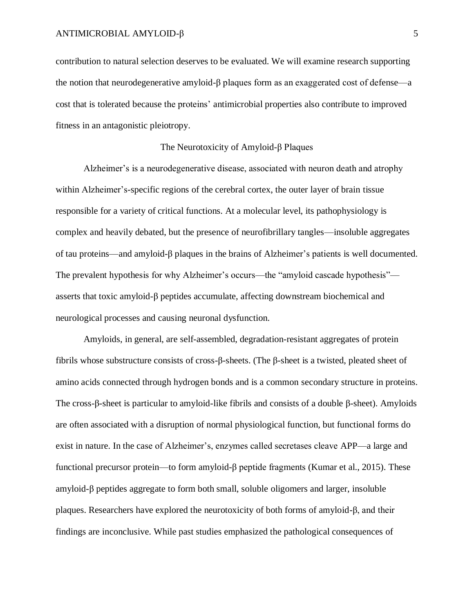contribution to natural selection deserves to be evaluated. We will examine research supporting the notion that neurodegenerative amyloid-β plaques form as an exaggerated cost of defense—a cost that is tolerated because the proteins' antimicrobial properties also contribute to improved fitness in an antagonistic pleiotropy.

# The Neurotoxicity of Amyloid-β Plaques

Alzheimer's is a neurodegenerative disease, associated with neuron death and atrophy within Alzheimer's-specific regions of the cerebral cortex, the outer layer of brain tissue responsible for a variety of critical functions. At a molecular level, its pathophysiology is complex and heavily debated, but the presence of neurofibrillary tangles—insoluble aggregates of tau proteins—and amyloid-β plaques in the brains of Alzheimer's patients is well documented. The prevalent hypothesis for why Alzheimer's occurs—the "amyloid cascade hypothesis" asserts that toxic amyloid-β peptides accumulate, affecting downstream biochemical and neurological processes and causing neuronal dysfunction.

Amyloids, in general, are self-assembled, degradation-resistant aggregates of protein fibrils whose substructure consists of cross-β-sheets. (The β-sheet is a twisted, pleated sheet of amino acids connected through hydrogen bonds and is a common secondary structure in proteins. The cross-β-sheet is particular to amyloid-like fibrils and consists of a double β-sheet). Amyloids are often associated with a disruption of normal physiological function, but functional forms do exist in nature. In the case of Alzheimer's, enzymes called secretases cleave APP—a large and functional precursor protein—to form amyloid-β peptide fragments (Kumar et al., 2015). These amyloid-β peptides aggregate to form both small, soluble oligomers and larger, insoluble plaques. Researchers have explored the neurotoxicity of both forms of amyloid-β, and their findings are inconclusive. While past studies emphasized the pathological consequences of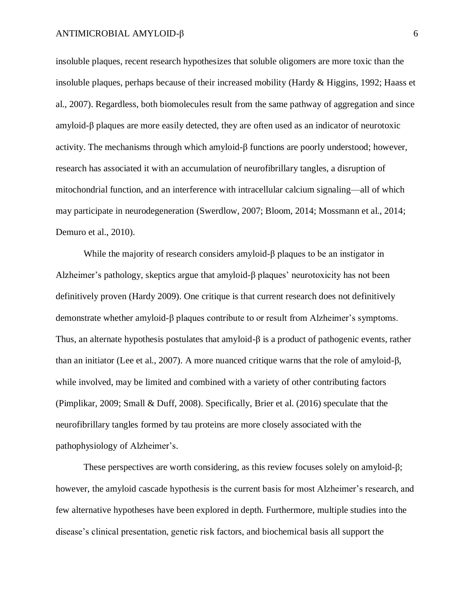insoluble plaques, recent research hypothesizes that soluble oligomers are more toxic than the insoluble plaques, perhaps because of their increased mobility (Hardy & Higgins, 1992; Haass et al., 2007). Regardless, both biomolecules result from the same pathway of aggregation and since amyloid-β plaques are more easily detected, they are often used as an indicator of neurotoxic activity. The mechanisms through which amyloid-β functions are poorly understood; however, research has associated it with an accumulation of neurofibrillary tangles, a disruption of mitochondrial function, and an interference with intracellular calcium signaling—all of which may participate in neurodegeneration (Swerdlow, 2007; Bloom, 2014; Mossmann et al., 2014; Demuro et al., 2010).

While the majority of research considers amyloid-β plaques to be an instigator in Alzheimer's pathology, skeptics argue that amyloid-β plaques' neurotoxicity has not been definitively proven (Hardy 2009). One critique is that current research does not definitively demonstrate whether amyloid-β plaques contribute to or result from Alzheimer's symptoms. Thus, an alternate hypothesis postulates that amyloid-β is a product of pathogenic events, rather than an initiator (Lee et al., 2007). A more nuanced critique warns that the role of amyloid-β, while involved, may be limited and combined with a variety of other contributing factors (Pimplikar, 2009; Small & Duff, 2008). Specifically, Brier et al. (2016) speculate that the neurofibrillary tangles formed by tau proteins are more closely associated with the pathophysiology of Alzheimer's.

These perspectives are worth considering, as this review focuses solely on amyloid-β; however, the amyloid cascade hypothesis is the current basis for most Alzheimer's research, and few alternative hypotheses have been explored in depth. Furthermore, multiple studies into the disease's clinical presentation, genetic risk factors, and biochemical basis all support the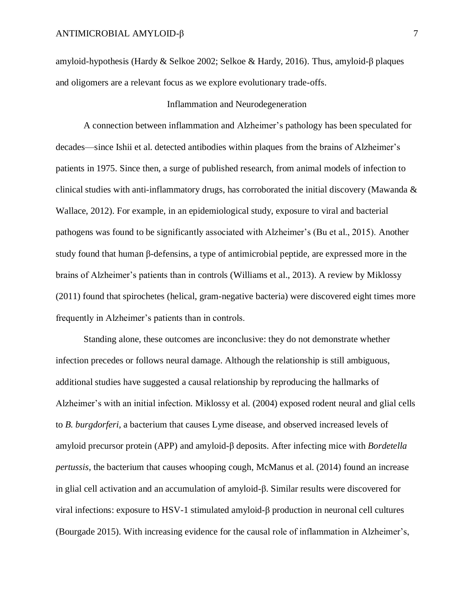amyloid-hypothesis (Hardy & Selkoe 2002; Selkoe & Hardy, 2016). Thus, amyloid-β plaques and oligomers are a relevant focus as we explore evolutionary trade-offs.

# Inflammation and Neurodegeneration

A connection between inflammation and Alzheimer's pathology has been speculated for decades—since Ishii et al. detected antibodies within plaques from the brains of Alzheimer's patients in 1975. Since then, a surge of published research, from animal models of infection to clinical studies with anti-inflammatory drugs, has corroborated the initial discovery (Mawanda  $\&$ Wallace, 2012). For example, in an epidemiological study, exposure to viral and bacterial pathogens was found to be significantly associated with Alzheimer's (Bu et al., 2015). Another study found that human β-defensins, a type of antimicrobial peptide, are expressed more in the brains of Alzheimer's patients than in controls (Williams et al., 2013). A review by Miklossy (2011) found that spirochetes (helical, gram-negative bacteria) were discovered eight times more frequently in Alzheimer's patients than in controls.

Standing alone, these outcomes are inconclusive: they do not demonstrate whether infection precedes or follows neural damage. Although the relationship is still ambiguous, additional studies have suggested a causal relationship by reproducing the hallmarks of Alzheimer's with an initial infection*.* Miklossy et al. (2004) exposed rodent neural and glial cells to *B. burgdorferi,* a bacterium that causes Lyme disease, and observed increased levels of amyloid precursor protein (APP) and amyloid-β deposits. After infecting mice with *Bordetella pertussis*, the bacterium that causes whooping cough, McManus et al. (2014) found an increase in glial cell activation and an accumulation of amyloid-β. Similar results were discovered for viral infections: exposure to HSV-1 stimulated amyloid-β production in neuronal cell cultures (Bourgade 2015). With increasing evidence for the causal role of inflammation in Alzheimer's,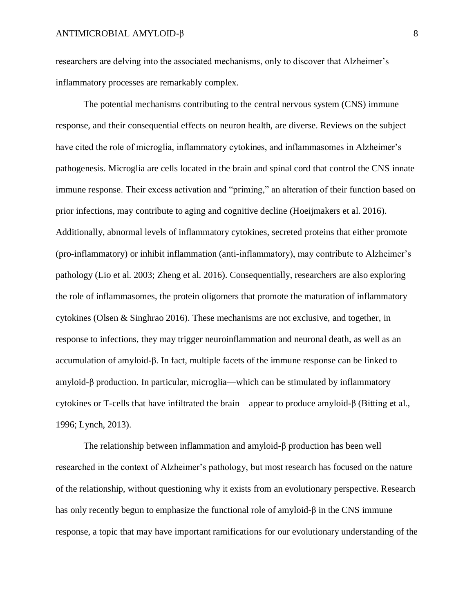researchers are delving into the associated mechanisms, only to discover that Alzheimer's inflammatory processes are remarkably complex.

The potential mechanisms contributing to the central nervous system (CNS) immune response, and their consequential effects on neuron health, are diverse. Reviews on the subject have cited the role of microglia, inflammatory cytokines, and inflammasomes in Alzheimer's pathogenesis. Microglia are cells located in the brain and spinal cord that control the CNS innate immune response. Their excess activation and "priming," an alteration of their function based on prior infections, may contribute to aging and cognitive decline (Hoeijmakers et al. 2016). Additionally, abnormal levels of inflammatory cytokines, secreted proteins that either promote (pro-inflammatory) or inhibit inflammation (anti-inflammatory), may contribute to Alzheimer's pathology (Lio et al. 2003; Zheng et al. 2016). Consequentially, researchers are also exploring the role of inflammasomes, the protein oligomers that promote the maturation of inflammatory cytokines (Olsen & Singhrao 2016). These mechanisms are not exclusive, and together, in response to infections, they may trigger neuroinflammation and neuronal death, as well as an accumulation of amyloid-β. In fact, multiple facets of the immune response can be linked to amyloid-β production. In particular, microglia—which can be stimulated by inflammatory cytokines or T-cells that have infiltrated the brain—appear to produce amyloid-β (Bitting et al., 1996; Lynch, 2013).

The relationship between inflammation and amyloid-β production has been well researched in the context of Alzheimer's pathology, but most research has focused on the nature of the relationship, without questioning why it exists from an evolutionary perspective. Research has only recently begun to emphasize the functional role of amyloid-β in the CNS immune response, a topic that may have important ramifications for our evolutionary understanding of the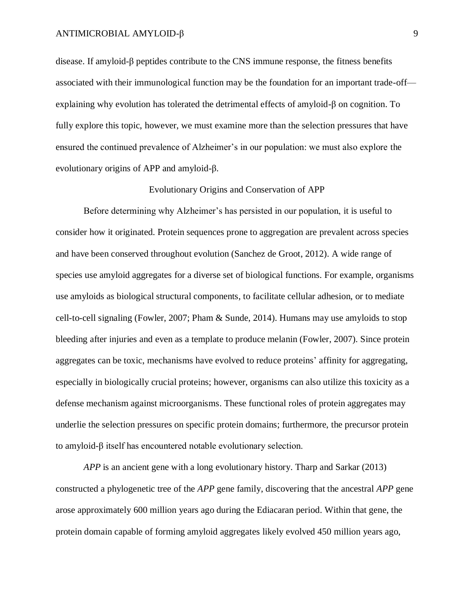disease. If amyloid-β peptides contribute to the CNS immune response, the fitness benefits associated with their immunological function may be the foundation for an important trade-off explaining why evolution has tolerated the detrimental effects of amyloid-β on cognition. To fully explore this topic, however, we must examine more than the selection pressures that have ensured the continued prevalence of Alzheimer's in our population: we must also explore the evolutionary origins of APP and amyloid-β.

### Evolutionary Origins and Conservation of APP

Before determining why Alzheimer's has persisted in our population, it is useful to consider how it originated. Protein sequences prone to aggregation are prevalent across species and have been conserved throughout evolution (Sanchez de Groot, 2012). A wide range of species use amyloid aggregates for a diverse set of biological functions. For example, organisms use amyloids as biological structural components, to facilitate cellular adhesion, or to mediate cell-to-cell signaling (Fowler, 2007; Pham & Sunde, 2014). Humans may use amyloids to stop bleeding after injuries and even as a template to produce melanin (Fowler, 2007). Since protein aggregates can be toxic, mechanisms have evolved to reduce proteins' affinity for aggregating, especially in biologically crucial proteins; however, organisms can also utilize this toxicity as a defense mechanism against microorganisms. These functional roles of protein aggregates may underlie the selection pressures on specific protein domains; furthermore, the precursor protein to amyloid-β itself has encountered notable evolutionary selection.

*APP* is an ancient gene with a long evolutionary history. Tharp and Sarkar (2013) constructed a phylogenetic tree of the *APP* gene family, discovering that the ancestral *APP* gene arose approximately 600 million years ago during the Ediacaran period. Within that gene, the protein domain capable of forming amyloid aggregates likely evolved 450 million years ago,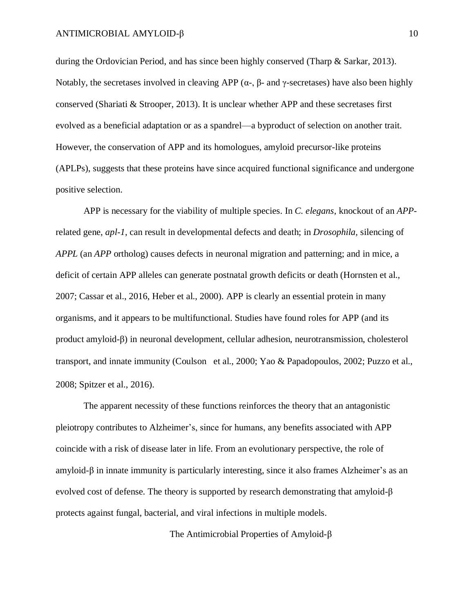during the Ordovician Period, and has since been highly conserved (Tharp & Sarkar, 2013). Notably, the secretases involved in cleaving APP ( $\alpha$ -,  $\beta$ - and γ-secretases) have also been highly conserved (Shariati  $\&$  Strooper, 2013). It is unclear whether APP and these secretases first evolved as a beneficial adaptation or as a spandrel—a byproduct of selection on another trait. However, the conservation of APP and its homologues, amyloid precursor-like proteins (APLPs), suggests that these proteins have since acquired functional significance and undergone positive selection.

APP is necessary for the viability of multiple species. In *C. elegans*, knockout of an *APP*related gene, *apl-1*, can result in developmental defects and death; in *Drosophila,* silencing of *APPL* (an *APP* ortholog) causes defects in neuronal migration and patterning; and in mice, a deficit of certain APP alleles can generate postnatal growth deficits or death (Hornsten et al., 2007; Cassar et al., 2016, Heber et al., 2000). APP is clearly an essential protein in many organisms, and it appears to be multifunctional. Studies have found roles for APP (and its product amyloid-β) in neuronal development, cellular adhesion, neurotransmission, cholesterol transport, and innate immunity (Coulson et al., 2000; Yao & Papadopoulos, 2002; Puzzo et al., 2008; Spitzer et al., 2016).

The apparent necessity of these functions reinforces the theory that an antagonistic pleiotropy contributes to Alzheimer's, since for humans, any benefits associated with APP coincide with a risk of disease later in life. From an evolutionary perspective, the role of amyloid-β in innate immunity is particularly interesting, since it also frames Alzheimer's as an evolved cost of defense. The theory is supported by research demonstrating that amyloid- $\beta$ protects against fungal, bacterial, and viral infections in multiple models.

The Antimicrobial Properties of Amyloid-β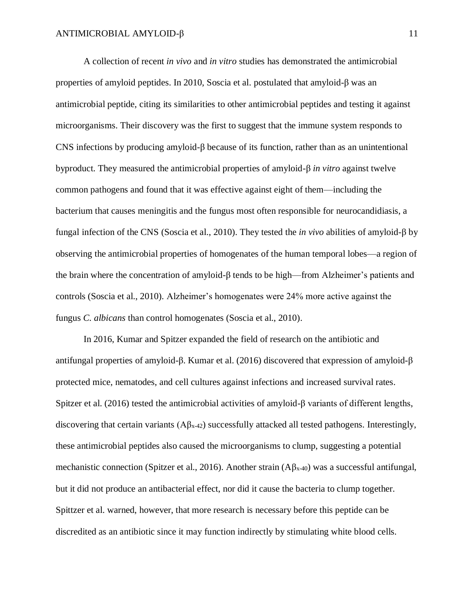A collection of recent *in vivo* and *in vitro* studies has demonstrated the antimicrobial properties of amyloid peptides. In 2010, Soscia et al. postulated that amyloid-β was an antimicrobial peptide, citing its similarities to other antimicrobial peptides and testing it against microorganisms. Their discovery was the first to suggest that the immune system responds to CNS infections by producing amyloid-β because of its function, rather than as an unintentional byproduct. They measured the antimicrobial properties of amyloid-β *in vitro* against twelve common pathogens and found that it was effective against eight of them—including the bacterium that causes meningitis and the fungus most often responsible for neurocandidiasis, a fungal infection of the CNS (Soscia et al., 2010). They tested the *in vivo* abilities of amyloid-β by observing the antimicrobial properties of homogenates of the human temporal lobes—a region of the brain where the concentration of amyloid-β tends to be high—from Alzheimer's patients and controls (Soscia et al., 2010). Alzheimer's homogenates were 24% more active against the fungus *C. albicans* than control homogenates (Soscia et al., 2010).

In 2016, Kumar and Spitzer expanded the field of research on the antibiotic and antifungal properties of amyloid-β. Kumar et al. (2016) discovered that expression of amyloid-β protected mice, nematodes, and cell cultures against infections and increased survival rates. Spitzer et al. (2016) tested the antimicrobial activities of amyloid-β variants of different lengths, discovering that certain variants  $(A\beta_{x-42})$  successfully attacked all tested pathogens. Interestingly, these antimicrobial peptides also caused the microorganisms to clump, suggesting a potential mechanistic connection (Spitzer et al., 2016). Another strain  $(A\beta_{x-40})$  was a successful antifungal, but it did not produce an antibacterial effect, nor did it cause the bacteria to clump together. Spittzer et al. warned, however, that more research is necessary before this peptide can be discredited as an antibiotic since it may function indirectly by stimulating white blood cells.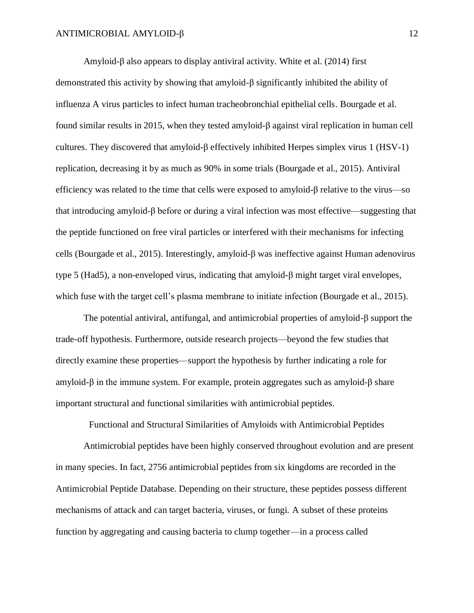Amyloid-β also appears to display antiviral activity. White et al. (2014) first demonstrated this activity by showing that amyloid-β significantly inhibited the ability of influenza A virus particles to infect human tracheobronchial epithelial cells. Bourgade et al. found similar results in 2015, when they tested amyloid-β against viral replication in human cell cultures. They discovered that amyloid-β effectively inhibited Herpes simplex virus 1 (HSV-1) replication, decreasing it by as much as 90% in some trials (Bourgade et al., 2015). Antiviral efficiency was related to the time that cells were exposed to amyloid-β relative to the virus—so that introducing amyloid-β before or during a viral infection was most effective—suggesting that the peptide functioned on free viral particles or interfered with their mechanisms for infecting cells (Bourgade et al., 2015). Interestingly, amyloid-β was ineffective against Human adenovirus type 5 (Had5), a non-enveloped virus, indicating that amyloid-β might target viral envelopes, which fuse with the target cell's plasma membrane to initiate infection (Bourgade et al., 2015).

The potential antiviral, antifungal, and antimicrobial properties of amyloid-β support the trade-off hypothesis. Furthermore, outside research projects—beyond the few studies that directly examine these properties—support the hypothesis by further indicating a role for amyloid-β in the immune system. For example, protein aggregates such as amyloid-β share important structural and functional similarities with antimicrobial peptides.

Antimicrobial peptides have been highly conserved throughout evolution and are present in many species. In fact, 2756 antimicrobial peptides from six kingdoms are recorded in the Antimicrobial Peptide Database. Depending on their structure, these peptides possess different mechanisms of attack and can target bacteria, viruses, or fungi. A subset of these proteins function by aggregating and causing bacteria to clump together—in a process called

Functional and Structural Similarities of Amyloids with Antimicrobial Peptides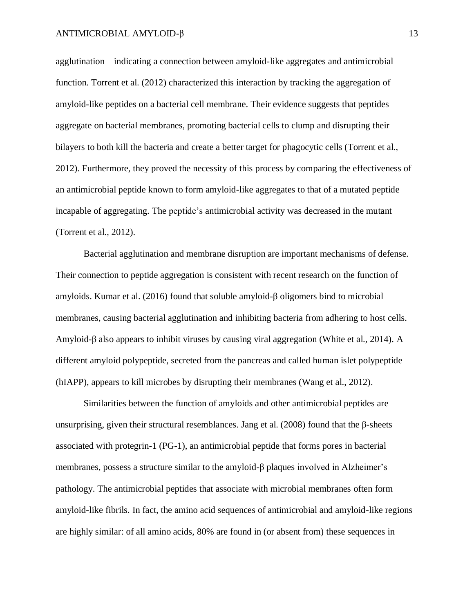agglutination—indicating a connection between amyloid-like aggregates and antimicrobial function. Torrent et al. (2012) characterized this interaction by tracking the aggregation of amyloid-like peptides on a bacterial cell membrane. Their evidence suggests that peptides aggregate on bacterial membranes, promoting bacterial cells to clump and disrupting their bilayers to both kill the bacteria and create a better target for phagocytic cells (Torrent et al., 2012). Furthermore, they proved the necessity of this process by comparing the effectiveness of an antimicrobial peptide known to form amyloid-like aggregates to that of a mutated peptide incapable of aggregating. The peptide's antimicrobial activity was decreased in the mutant (Torrent et al., 2012).

Bacterial agglutination and membrane disruption are important mechanisms of defense. Their connection to peptide aggregation is consistent with recent research on the function of amyloids. Kumar et al. (2016) found that soluble amyloid-β oligomers bind to microbial membranes, causing bacterial agglutination and inhibiting bacteria from adhering to host cells. Amyloid- $\beta$  also appears to inhibit viruses by causing viral aggregation (White et al., 2014). A different amyloid polypeptide, secreted from the pancreas and called human islet polypeptide (hIAPP), appears to kill microbes by disrupting their membranes (Wang et al., 2012).

Similarities between the function of amyloids and other antimicrobial peptides are unsurprising, given their structural resemblances. Jang et al.  $(2008)$  found that the β-sheets associated with protegrin-1 (PG-1), an antimicrobial peptide that forms pores in bacterial membranes, possess a structure similar to the amyloid-β plaques involved in Alzheimer's pathology. The antimicrobial peptides that associate with microbial membranes often form amyloid-like fibrils. In fact, the amino acid sequences of antimicrobial and amyloid-like regions are highly similar: of all amino acids, 80% are found in (or absent from) these sequences in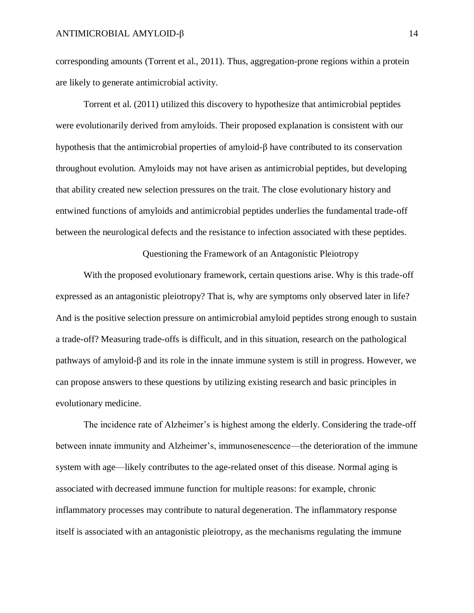corresponding amounts (Torrent et al., 2011). Thus, aggregation-prone regions within a protein are likely to generate antimicrobial activity.

Torrent et al. (2011) utilized this discovery to hypothesize that antimicrobial peptides were evolutionarily derived from amyloids. Their proposed explanation is consistent with our hypothesis that the antimicrobial properties of amyloid-β have contributed to its conservation throughout evolution. Amyloids may not have arisen as antimicrobial peptides, but developing that ability created new selection pressures on the trait. The close evolutionary history and entwined functions of amyloids and antimicrobial peptides underlies the fundamental trade-off between the neurological defects and the resistance to infection associated with these peptides.

Questioning the Framework of an Antagonistic Pleiotropy

With the proposed evolutionary framework, certain questions arise. Why is this trade-off expressed as an antagonistic pleiotropy? That is, why are symptoms only observed later in life? And is the positive selection pressure on antimicrobial amyloid peptides strong enough to sustain a trade-off? Measuring trade-offs is difficult, and in this situation, research on the pathological pathways of amyloid-β and its role in the innate immune system is still in progress. However, we can propose answers to these questions by utilizing existing research and basic principles in evolutionary medicine.

The incidence rate of Alzheimer's is highest among the elderly. Considering the trade-off between innate immunity and Alzheimer's, immunosenescence—the deterioration of the immune system with age—likely contributes to the age-related onset of this disease. Normal aging is associated with decreased immune function for multiple reasons: for example, chronic inflammatory processes may contribute to natural degeneration. The inflammatory response itself is associated with an antagonistic pleiotropy, as the mechanisms regulating the immune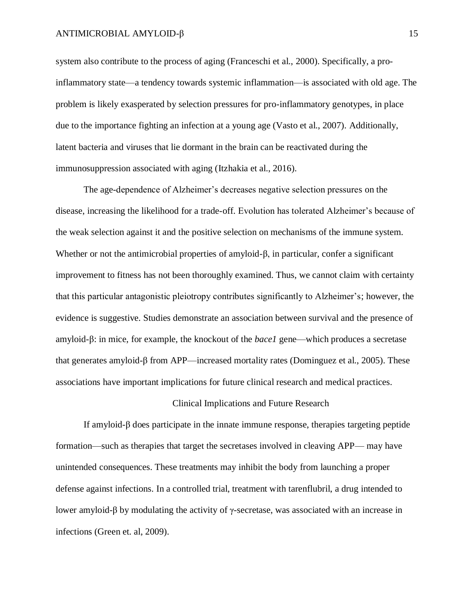system also contribute to the process of aging (Franceschi et al., 2000). Specifically, a proinflammatory state—a tendency towards systemic inflammation—is associated with old age. The problem is likely exasperated by selection pressures for pro-inflammatory genotypes, in place due to the importance fighting an infection at a young age (Vasto et al., 2007). Additionally, latent bacteria and viruses that lie dormant in the brain can be reactivated during the immunosuppression associated with aging (Itzhakia et al., 2016).

The age-dependence of Alzheimer's decreases negative selection pressures on the disease, increasing the likelihood for a trade-off. Evolution has tolerated Alzheimer's because of the weak selection against it and the positive selection on mechanisms of the immune system. Whether or not the antimicrobial properties of amyloid-β, in particular, confer a significant improvement to fitness has not been thoroughly examined. Thus, we cannot claim with certainty that this particular antagonistic pleiotropy contributes significantly to Alzheimer's; however, the evidence is suggestive. Studies demonstrate an association between survival and the presence of amyloid-β: in mice, for example, the knockout of the *bace1* gene—which produces a secretase that generates amyloid-β from APP—increased mortality rates (Dominguez et al., 2005). These associations have important implications for future clinical research and medical practices.

### Clinical Implications and Future Research

If amyloid-β does participate in the innate immune response, therapies targeting peptide formation—such as therapies that target the secretases involved in cleaving APP— may have unintended consequences. These treatments may inhibit the body from launching a proper defense against infections. In a controlled trial, treatment with tarenflubril, a drug intended to lower amyloid-β by modulating the activity of γ-secretase, was associated with an increase in infections (Green et. al, 2009).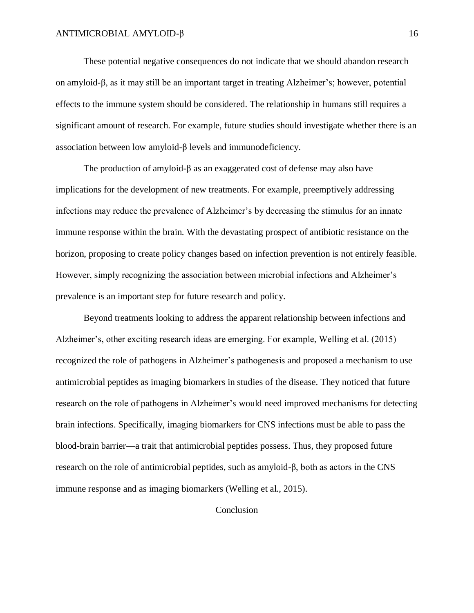These potential negative consequences do not indicate that we should abandon research on amyloid-β, as it may still be an important target in treating Alzheimer's; however, potential effects to the immune system should be considered. The relationship in humans still requires a significant amount of research. For example, future studies should investigate whether there is an association between low amyloid-β levels and immunodeficiency.

The production of amyloid-β as an exaggerated cost of defense may also have implications for the development of new treatments. For example, preemptively addressing infections may reduce the prevalence of Alzheimer's by decreasing the stimulus for an innate immune response within the brain. With the devastating prospect of antibiotic resistance on the horizon, proposing to create policy changes based on infection prevention is not entirely feasible. However, simply recognizing the association between microbial infections and Alzheimer's prevalence is an important step for future research and policy.

Beyond treatments looking to address the apparent relationship between infections and Alzheimer's, other exciting research ideas are emerging. For example, Welling et al. (2015) recognized the role of pathogens in Alzheimer's pathogenesis and proposed a mechanism to use antimicrobial peptides as imaging biomarkers in studies of the disease. They noticed that future research on the role of pathogens in Alzheimer's would need improved mechanisms for detecting brain infections. Specifically, imaging biomarkers for CNS infections must be able to pass the blood-brain barrier—a trait that antimicrobial peptides possess. Thus, they proposed future research on the role of antimicrobial peptides, such as amyloid-β, both as actors in the CNS immune response and as imaging biomarkers (Welling et al., 2015).

Conclusion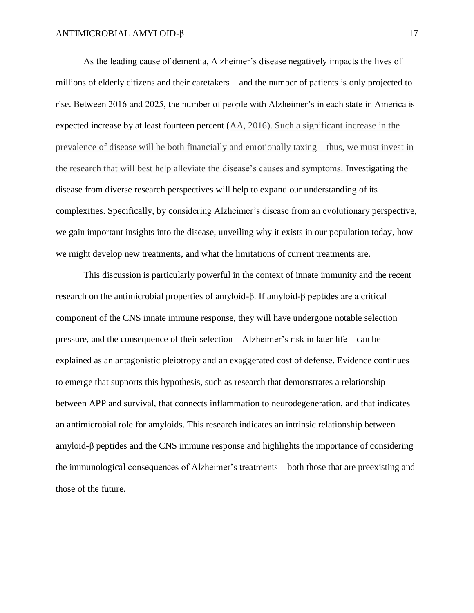As the leading cause of dementia, Alzheimer's disease negatively impacts the lives of millions of elderly citizens and their caretakers—and the number of patients is only projected to rise. Between 2016 and 2025, the number of people with Alzheimer's in each state in America is expected increase by at least fourteen percent (AA, 2016). Such a significant increase in the prevalence of disease will be both financially and emotionally taxing—thus, we must invest in the research that will best help alleviate the disease's causes and symptoms. Investigating the disease from diverse research perspectives will help to expand our understanding of its complexities. Specifically, by considering Alzheimer's disease from an evolutionary perspective, we gain important insights into the disease, unveiling why it exists in our population today, how we might develop new treatments, and what the limitations of current treatments are.

This discussion is particularly powerful in the context of innate immunity and the recent research on the antimicrobial properties of amyloid-β. If amyloid-β peptides are a critical component of the CNS innate immune response, they will have undergone notable selection pressure, and the consequence of their selection—Alzheimer's risk in later life—can be explained as an antagonistic pleiotropy and an exaggerated cost of defense. Evidence continues to emerge that supports this hypothesis, such as research that demonstrates a relationship between APP and survival, that connects inflammation to neurodegeneration, and that indicates an antimicrobial role for amyloids. This research indicates an intrinsic relationship between amyloid-β peptides and the CNS immune response and highlights the importance of considering the immunological consequences of Alzheimer's treatments—both those that are preexisting and those of the future.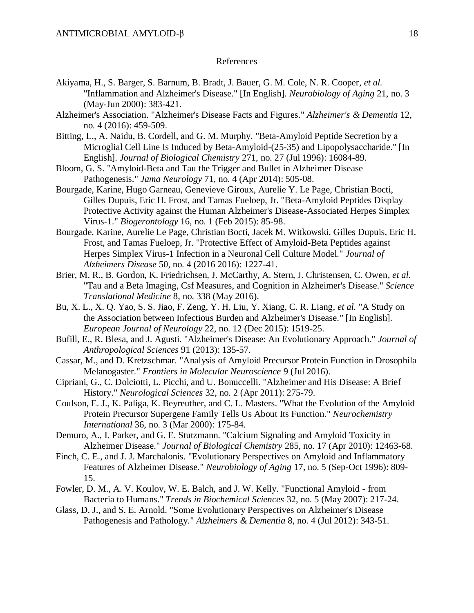### References

- Akiyama, H., S. Barger, S. Barnum, B. Bradt, J. Bauer, G. M. Cole, N. R. Cooper*, et al.* "Inflammation and Alzheimer's Disease." [In English]. *Neurobiology of Aging* 21, no. 3 (May-Jun 2000): 383-421.
- Alzheimer's Association. "Alzheimer's Disease Facts and Figures." *Alzheimer's & Dementia* 12, no. 4 (2016): 459-509.
- Bitting, L., A. Naidu, B. Cordell, and G. M. Murphy. "Beta-Amyloid Peptide Secretion by a Microglial Cell Line Is Induced by Beta-Amyloid-(25-35) and Lipopolysaccharide." [In English]. *Journal of Biological Chemistry* 271, no. 27 (Jul 1996): 16084-89.
- Bloom, G. S. "Amyloid-Beta and Tau the Trigger and Bullet in Alzheimer Disease Pathogenesis." *Jama Neurology* 71, no. 4 (Apr 2014): 505-08.
- Bourgade, Karine, Hugo Garneau, Genevieve Giroux, Aurelie Y. Le Page, Christian Bocti, Gilles Dupuis, Eric H. Frost, and Tamas Fueloep, Jr. "Beta-Amyloid Peptides Display Protective Activity against the Human Alzheimer's Disease-Associated Herpes Simplex Virus-1." *Biogerontology* 16, no. 1 (Feb 2015): 85-98.
- Bourgade, Karine, Aurelie Le Page, Christian Bocti, Jacek M. Witkowski, Gilles Dupuis, Eric H. Frost, and Tamas Fueloep, Jr. "Protective Effect of Amyloid-Beta Peptides against Herpes Simplex Virus-1 Infection in a Neuronal Cell Culture Model." *Journal of Alzheimers Disease* 50, no. 4 (2016 2016): 1227-41.
- Brier, M. R., B. Gordon, K. Friedrichsen, J. McCarthy, A. Stern, J. Christensen, C. Owen*, et al.* "Tau and a Beta Imaging, Csf Measures, and Cognition in Alzheimer's Disease." *Science Translational Medicine* 8, no. 338 (May 2016).
- Bu, X. L., X. Q. Yao, S. S. Jiao, F. Zeng, Y. H. Liu, Y. Xiang, C. R. Liang*, et al.* "A Study on the Association between Infectious Burden and Alzheimer's Disease." [In English]. *European Journal of Neurology* 22, no. 12 (Dec 2015): 1519-25.
- Bufill, E., R. Blesa, and J. Agusti. "Alzheimer's Disease: An Evolutionary Approach." *Journal of Anthropological Sciences* 91 (2013): 135-57.
- Cassar, M., and D. Kretzschmar. "Analysis of Amyloid Precursor Protein Function in Drosophila Melanogaster." *Frontiers in Molecular Neuroscience* 9 (Jul 2016).
- Cipriani, G., C. Dolciotti, L. Picchi, and U. Bonuccelli. "Alzheimer and His Disease: A Brief History." *Neurological Sciences* 32, no. 2 (Apr 2011): 275-79.
- Coulson, E. J., K. Paliga, K. Beyreuther, and C. L. Masters. "What the Evolution of the Amyloid Protein Precursor Supergene Family Tells Us About Its Function." *Neurochemistry International* 36, no. 3 (Mar 2000): 175-84.
- Demuro, A., I. Parker, and G. E. Stutzmann. "Calcium Signaling and Amyloid Toxicity in Alzheimer Disease." *Journal of Biological Chemistry* 285, no. 17 (Apr 2010): 12463-68.
- Finch, C. E., and J. J. Marchalonis. "Evolutionary Perspectives on Amyloid and Inflammatory Features of Alzheimer Disease." *Neurobiology of Aging* 17, no. 5 (Sep-Oct 1996): 809- 15.
- Fowler, D. M., A. V. Koulov, W. E. Balch, and J. W. Kelly. "Functional Amyloid from Bacteria to Humans." *Trends in Biochemical Sciences* 32, no. 5 (May 2007): 217-24.
- Glass, D. J., and S. E. Arnold. "Some Evolutionary Perspectives on Alzheimer's Disease Pathogenesis and Pathology." *Alzheimers & Dementia* 8, no. 4 (Jul 2012): 343-51.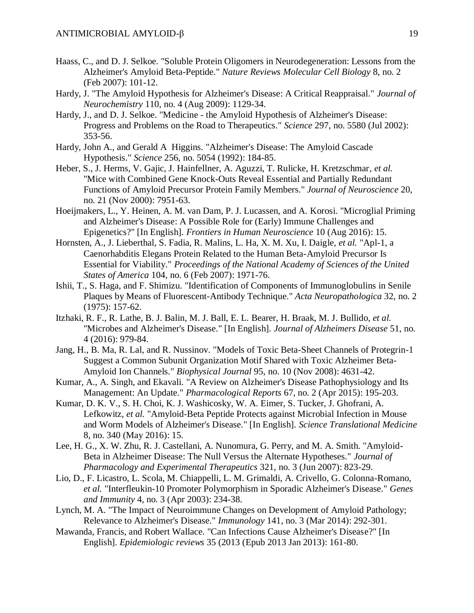- Haass, C., and D. J. Selkoe. "Soluble Protein Oligomers in Neurodegeneration: Lessons from the Alzheimer's Amyloid Beta-Peptide." *Nature Reviews Molecular Cell Biology* 8, no. 2 (Feb 2007): 101-12.
- Hardy, J. "The Amyloid Hypothesis for Alzheimer's Disease: A Critical Reappraisal." *Journal of Neurochemistry* 110, no. 4 (Aug 2009): 1129-34.
- Hardy, J., and D. J. Selkoe. "Medicine the Amyloid Hypothesis of Alzheimer's Disease: Progress and Problems on the Road to Therapeutics." *Science* 297, no. 5580 (Jul 2002): 353-56.
- Hardy, John A., and Gerald A Higgins. "Alzheimer's Disease: The Amyloid Cascade Hypothesis." *Science* 256, no. 5054 (1992): 184-85.
- Heber, S., J. Herms, V. Gajic, J. Hainfellner, A. Aguzzi, T. Rulicke, H. Kretzschmar*, et al.* "Mice with Combined Gene Knock-Outs Reveal Essential and Partially Redundant Functions of Amyloid Precursor Protein Family Members." *Journal of Neuroscience* 20, no. 21 (Nov 2000): 7951-63.
- Hoeijmakers, L., Y. Heinen, A. M. van Dam, P. J. Lucassen, and A. Korosi. "Microglial Priming and Alzheimer's Disease: A Possible Role for (Early) Immune Challenges and Epigenetics?" [In English]. *Frontiers in Human Neuroscience* 10 (Aug 2016): 15.
- Hornsten, A., J. Lieberthal, S. Fadia, R. Malins, L. Ha, X. M. Xu, I. Daigle*, et al.* "Apl-1, a Caenorhabditis Elegans Protein Related to the Human Beta-Amyloid Precursor Is Essential for Viability." *Proceedings of the National Academy of Sciences of the United States of America* 104, no. 6 (Feb 2007): 1971-76.
- Ishii, T., S. Haga, and F. Shimizu. "Identification of Components of Immunoglobulins in Senile Plaques by Means of Fluorescent-Antibody Technique." *Acta Neuropathologica* 32, no. 2 (1975): 157-62.
- Itzhaki, R. F., R. Lathe, B. J. Balin, M. J. Ball, E. L. Bearer, H. Braak, M. J. Bullido*, et al.* "Microbes and Alzheimer's Disease." [In English]. *Journal of Alzheimers Disease* 51, no. 4 (2016): 979-84.
- Jang, H., B. Ma, R. Lal, and R. Nussinov. "Models of Toxic Beta-Sheet Channels of Protegrin-1 Suggest a Common Subunit Organization Motif Shared with Toxic Alzheimer Beta-Amyloid Ion Channels." *Biophysical Journal* 95, no. 10 (Nov 2008): 4631-42.
- Kumar, A., A. Singh, and Ekavali. "A Review on Alzheimer's Disease Pathophysiology and Its Management: An Update." *Pharmacological Reports* 67, no. 2 (Apr 2015): 195-203.
- Kumar, D. K. V., S. H. Choi, K. J. Washicosky, W. A. Eimer, S. Tucker, J. Ghofrani, A. Lefkowitz*, et al.* "Amyloid-Beta Peptide Protects against Microbial Infection in Mouse and Worm Models of Alzheimer's Disease." [In English]. *Science Translational Medicine*  8, no. 340 (May 2016): 15.
- Lee, H. G., X. W. Zhu, R. J. Castellani, A. Nunomura, G. Perry, and M. A. Smith. "Amyloid-Beta in Alzheimer Disease: The Null Versus the Alternate Hypotheses." *Journal of Pharmacology and Experimental Therapeutics* 321, no. 3 (Jun 2007): 823-29.
- Lio, D., F. Licastro, L. Scola, M. Chiappelli, L. M. Grimaldi, A. Crivello, G. Colonna-Romano*, et al.* "Interfleukin-10 Promoter Polymorphism in Sporadic Alzheimer's Disease." *Genes and Immunity* 4, no. 3 (Apr 2003): 234-38.
- Lynch, M. A. "The Impact of Neuroimmune Changes on Development of Amyloid Pathology; Relevance to Alzheimer's Disease." *Immunology* 141, no. 3 (Mar 2014): 292-301.
- Mawanda, Francis, and Robert Wallace. "Can Infections Cause Alzheimer's Disease?" [In English]. *Epidemiologic reviews* 35 (2013 (Epub 2013 Jan 2013): 161-80.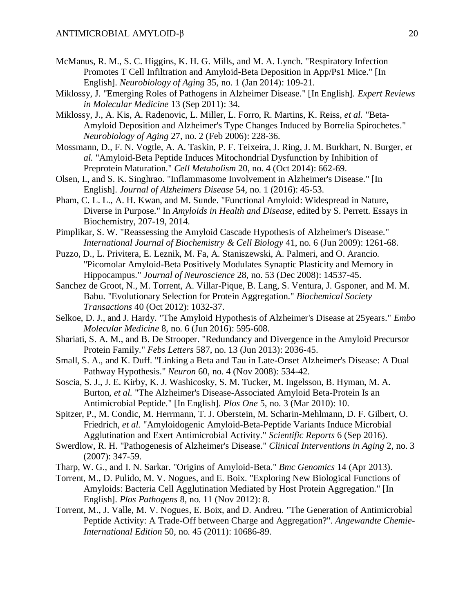- McManus, R. M., S. C. Higgins, K. H. G. Mills, and M. A. Lynch. "Respiratory Infection Promotes T Cell Infiltration and Amyloid-Beta Deposition in App/Ps1 Mice." [In English]. *Neurobiology of Aging* 35, no. 1 (Jan 2014): 109-21.
- Miklossy, J. "Emerging Roles of Pathogens in Alzheimer Disease." [In English]. *Expert Reviews in Molecular Medicine* 13 (Sep 2011): 34.
- Miklossy, J., A. Kis, A. Radenovic, L. Miller, L. Forro, R. Martins, K. Reiss*, et al.* "Beta-Amyloid Deposition and Alzheimer's Type Changes Induced by Borrelia Spirochetes." *Neurobiology of Aging* 27, no. 2 (Feb 2006): 228-36.
- Mossmann, D., F. N. Vogtle, A. A. Taskin, P. F. Teixeira, J. Ring, J. M. Burkhart, N. Burger*, et al.* "Amyloid-Beta Peptide Induces Mitochondrial Dysfunction by Inhibition of Preprotein Maturation." *Cell Metabolism* 20, no. 4 (Oct 2014): 662-69.
- Olsen, I., and S. K. Singhrao. "Inflammasome Involvement in Alzheimer's Disease." [In English]. *Journal of Alzheimers Disease* 54, no. 1 (2016): 45-53.
- Pham, C. L. L., A. H. Kwan, and M. Sunde. "Functional Amyloid: Widespread in Nature, Diverse in Purpose." In *Amyloids in Health and Disease*, edited by S. Perrett. Essays in Biochemistry, 207-19, 2014.
- Pimplikar, S. W. "Reassessing the Amyloid Cascade Hypothesis of Alzheimer's Disease." *International Journal of Biochemistry & Cell Biology* 41, no. 6 (Jun 2009): 1261-68.
- Puzzo, D., L. Privitera, E. Leznik, M. Fa, A. Staniszewski, A. Palmeri, and O. Arancio. "Picomolar Amyloid-Beta Positively Modulates Synaptic Plasticity and Memory in Hippocampus." *Journal of Neuroscience* 28, no. 53 (Dec 2008): 14537-45.
- Sanchez de Groot, N., M. Torrent, A. Villar-Pique, B. Lang, S. Ventura, J. Gsponer, and M. M. Babu. "Evolutionary Selection for Protein Aggregation." *Biochemical Society Transactions* 40 (Oct 2012): 1032-37.
- Selkoe, D. J., and J. Hardy. "The Amyloid Hypothesis of Alzheimer's Disease at 25years." *Embo Molecular Medicine* 8, no. 6 (Jun 2016): 595-608.
- Shariati, S. A. M., and B. De Strooper. "Redundancy and Divergence in the Amyloid Precursor Protein Family." *Febs Letters* 587, no. 13 (Jun 2013): 2036-45.
- Small, S. A., and K. Duff. "Linking a Beta and Tau in Late-Onset Alzheimer's Disease: A Dual Pathway Hypothesis." *Neuron* 60, no. 4 (Nov 2008): 534-42.
- Soscia, S. J., J. E. Kirby, K. J. Washicosky, S. M. Tucker, M. Ingelsson, B. Hyman, M. A. Burton*, et al.* "The Alzheimer's Disease-Associated Amyloid Beta-Protein Is an Antimicrobial Peptide." [In English]. *Plos One* 5, no. 3 (Mar 2010): 10.
- Spitzer, P., M. Condic, M. Herrmann, T. J. Oberstein, M. Scharin-Mehlmann, D. F. Gilbert, O. Friedrich*, et al.* "Amyloidogenic Amyloid-Beta-Peptide Variants Induce Microbial Agglutination and Exert Antimicrobial Activity." *Scientific Reports* 6 (Sep 2016).
- Swerdlow, R. H. "Pathogenesis of Alzheimer's Disease." *Clinical Interventions in Aging* 2, no. 3 (2007): 347-59.
- Tharp, W. G., and I. N. Sarkar. "Origins of Amyloid-Beta." *Bmc Genomics* 14 (Apr 2013).
- Torrent, M., D. Pulido, M. V. Nogues, and E. Boix. "Exploring New Biological Functions of Amyloids: Bacteria Cell Agglutination Mediated by Host Protein Aggregation." [In English]. *Plos Pathogens* 8, no. 11 (Nov 2012): 8.
- Torrent, M., J. Valle, M. V. Nogues, E. Boix, and D. Andreu. "The Generation of Antimicrobial Peptide Activity: A Trade-Off between Charge and Aggregation?". *Angewandte Chemie-International Edition* 50, no. 45 (2011): 10686-89.